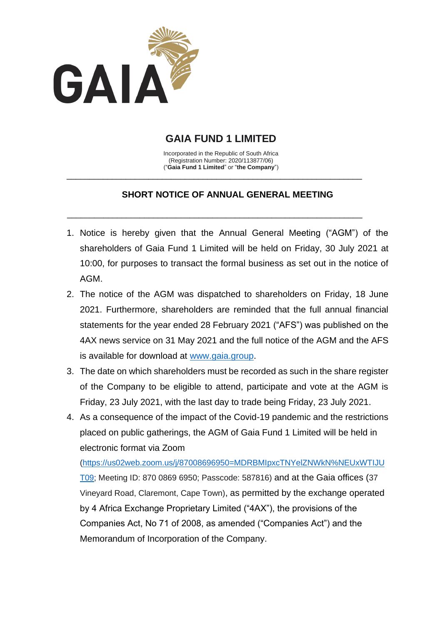

# **GAIA FUND 1 LIMITED**

Incorporated in the Republic of South Africa (Registration Number: 2020/113877/06) ("**Gaia Fund 1 Limited**" or "**the Company**")

\_\_\_\_\_\_\_\_\_\_\_\_\_\_\_\_\_\_\_\_\_\_\_\_\_\_\_\_\_\_\_\_\_\_\_\_\_\_\_\_\_\_\_\_\_\_\_\_\_\_\_\_\_\_\_\_\_\_\_\_\_\_\_\_\_

 $\overline{\phantom{a}}$  , and the contribution of the contribution of the contribution of the contribution of the contribution of the contribution of the contribution of the contribution of the contribution of the contribution of the

# **SHORT NOTICE OF ANNUAL GENERAL MEETING**

- 1. Notice is hereby given that the Annual General Meeting ("AGM") of the shareholders of Gaia Fund 1 Limited will be held on Friday, 30 July 2021 at 10:00, for purposes to transact the formal business as set out in the notice of AGM.
- 2. The notice of the AGM was dispatched to shareholders on Friday, 18 June 2021. Furthermore, shareholders are reminded that the full annual financial statements for the year ended 28 February 2021 ("AFS") was published on the 4AX news service on 31 May 2021 and the full notice of the AGM and the AFS is available for download at [www.gaia.group.](http://www.gaia.group/)
- 3. The date on which shareholders must be recorded as such in the share register of the Company to be eligible to attend, participate and vote at the AGM is Friday, 23 July 2021, with the last day to trade being Friday, 23 July 2021.
- 4. As a consequence of the impact of the Covid-19 pandemic and the restrictions placed on public gatherings, the AGM of Gaia Fund 1 Limited will be held in electronic format via Zoom

[\(https://us02web.zoom.us/j/87008696950=MDRBMIpxcTNYelZNWkN%NEUxWTIJU](https://us02web.zoom.us/j/87008696950=MDRBMIpxcTNYelZNWkN%25NEUxWTIJUT09) [T09;](https://us02web.zoom.us/j/87008696950=MDRBMIpxcTNYelZNWkN%25NEUxWTIJUT09) Meeting ID: 870 0869 6950; Passcode: 587816) and at the Gaia offices (37 Vineyard Road, Claremont, Cape Town), as permitted by the exchange operated by 4 Africa Exchange Proprietary Limited ("4AX"), the provisions of the Companies Act, No 71 of 2008, as amended ("Companies Act") and the Memorandum of Incorporation of the Company.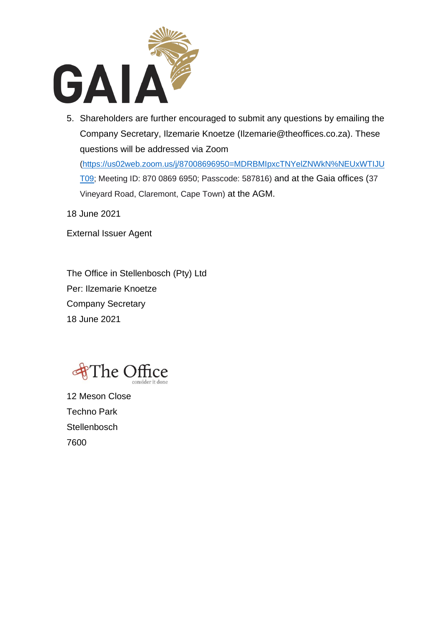

5. Shareholders are further encouraged to submit any questions by emailing the Company Secretary, Ilzemarie Knoetze (Ilzemarie@theoffices.co.za). These questions will be addressed via Zoom

[\(https://us02web.zoom.us/j/87008696950=MDRBMIpxcTNYelZNWkN%NEUxWTIJU](https://us02web.zoom.us/j/87008696950=MDRBMIpxcTNYelZNWkN%25NEUxWTIJUT09) [T09;](https://us02web.zoom.us/j/87008696950=MDRBMIpxcTNYelZNWkN%25NEUxWTIJUT09) Meeting ID: 870 0869 6950; Passcode: 587816) and at the Gaia offices (37 Vineyard Road, Claremont, Cape Town) at the AGM.

18 June 2021

External Issuer Agent

The Office in Stellenbosch (Pty) Ltd Per: Ilzemarie Knoetze Company Secretary 18 June 2021



12 Meson Close Techno Park **Stellenbosch** 7600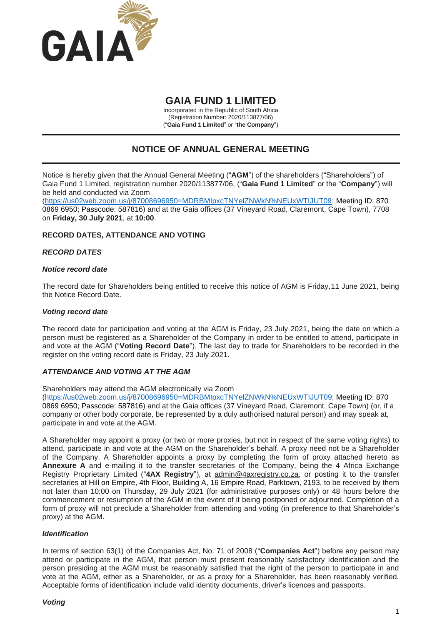

# **GAIA FUND 1 LIMITED**

Incorporated in the Republic of South Africa (Registration Number: 2020/113877/06) ("**Gaia Fund 1 Limited**" or "**the Company**")

# **NOTICE OF ANNUAL GENERAL MEETING**

Notice is hereby given that the Annual General Meeting ("**AGM**") of the shareholders ("Shareholders") of Gaia Fund 1 Limited, registration number 2020/113877/06, ("**Gaia Fund 1 Limited**" or the "**Company**") will be held and conducted via Zoom

[\(https://us02web.zoom.us/j/87008696950=MDRBMIpxcTNYelZNWkN%NEUxWTIJUT09;](https://us02web.zoom.us/j/87008696950=MDRBMIpxcTNYelZNWkN%25NEUxWTIJUT09) Meeting ID: 870 0869 6950; Passcode: 587816) and at the Gaia offices (37 Vineyard Road, Claremont, Cape Town), 7708 on **Friday, 30 July 2021**, at **10:00**.

# **RECORD DATES, ATTENDANCE AND VOTING**

# *RECORD DATES*

# *Notice record date*

The record date for Shareholders being entitled to receive this notice of AGM is Friday,11 June 2021, being the Notice Record Date.

# *Voting record date*

The record date for participation and voting at the AGM is Friday, 23 July 2021, being the date on which a person must be registered as a Shareholder of the Company in order to be entitled to attend, participate in and vote at the AGM ("**Voting Record Date**"). The last day to trade for Shareholders to be recorded in the register on the voting record date is Friday, 23 July 2021.

# *ATTENDANCE AND VOTING AT THE AGM*

Shareholders may attend the AGM electronically via Zoom

[\(https://us02web.zoom.us/j/87008696950=MDRBMIpxcTNYelZNWkN%NEUxWTIJUT09;](https://us02web.zoom.us/j/87008696950=MDRBMIpxcTNYelZNWkN%25NEUxWTIJUT09) Meeting ID: 870 0869 6950; Passcode: 587816) and at the Gaia offices (37 Vineyard Road, Claremont, Cape Town) (or, if a company or other body corporate, be represented by a duly authorised natural person) and may speak at, participate in and vote at the AGM.

A Shareholder may appoint a proxy (or two or more proxies, but not in respect of the same voting rights) to attend, participate in and vote at the AGM on the Shareholder's behalf. A proxy need not be a Shareholder of the Company. A Shareholder appoints a proxy by completing the form of proxy attached hereto as **Annexure A** and e-mailing it to the transfer secretaries of the Company, being the 4 Africa Exchange Registry Proprietary Limited ("**4AX Registry**"), at admin@4axregistry.co.za, or posting it to the transfer secretaries at Hill on Empire, 4th Floor, Building A, 16 Empire Road, Parktown, 2193, to be received by them not later than 10;00 on Thursday, 29 July 2021 (for administrative purposes only) or 48 hours before the commencement or resumption of the AGM in the event of it being postponed or adjourned. Completion of a form of proxy will not preclude a Shareholder from attending and voting (in preference to that Shareholder's proxy) at the AGM.

# *Identification*

In terms of section 63(1) of the Companies Act, No. 71 of 2008 ("**Companies Act**") before any person may attend or participate in the AGM, that person must present reasonably satisfactory identification and the person presiding at the AGM must be reasonably satisfied that the right of the person to participate in and vote at the AGM, either as a Shareholder, or as a proxy for a Shareholder, has been reasonably verified. Acceptable forms of identification include valid identity documents, driver's licences and passports.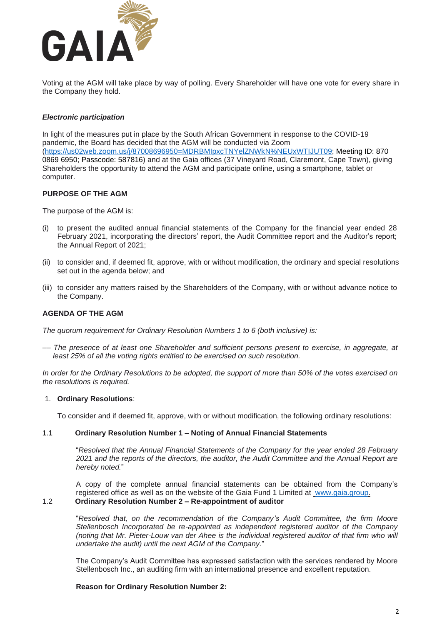

Voting at the AGM will take place by way of polling. Every Shareholder will have one vote for every share in the Company they hold.

# *Electronic participation*

In light of the measures put in place by the South African Government in response to the COVID-19 pandemic, the Board has decided that the AGM will be conducted via Zoom .<br>(https://us02web.zoom.us/j/8700869695<u>0=MDRBMIpxcTNYelZNWkN%NEUxWTIJUT09</u>; Meeting ID: 870 0869 6950; Passcode: 587816) and at the Gaia offices (37 Vineyard Road, Claremont, Cape Town), giving Shareholders the opportunity to attend the AGM and participate online, using a smartphone, tablet or computer.

# **PURPOSE OF THE AGM**

The purpose of the AGM is:

- (i) to present the audited annual financial statements of the Company for the financial year ended 28 February 2021, incorporating the directors' report, the Audit Committee report and the Auditor's report; the Annual Report of 2021;
- (ii) to consider and, if deemed fit, approve, with or without modification, the ordinary and special resolutions set out in the agenda below; and
- (iii) to consider any matters raised by the Shareholders of the Company, with or without advance notice to the Company.

# **AGENDA OF THE AGM**

*The quorum requirement for Ordinary Resolution Numbers 1 to 6 (both inclusive) is:* 

–*– The presence of at least one Shareholder and sufficient persons present to exercise, in aggregate, at least 25% of all the voting rights entitled to be exercised on such resolution.*

*In order for the Ordinary Resolutions to be adopted, the support of more than 50% of the votes exercised on the resolutions is required.*

#### 1. **Ordinary Resolutions**:

To consider and if deemed fit, approve, with or without modification, the following ordinary resolutions:

#### 1.1 **Ordinary Resolution Number 1 – Noting of Annual Financial Statements**

"*Resolved that the Annual Financial Statements of the Company for the year ended 28 February 2021 and the reports of the directors, the auditor, the Audit Committee and the Annual Report are hereby noted.*"

A copy of the complete annual financial statements can be obtained from the Company's registered office as well as on the website of the Gaia Fund 1 Limited at [www.gaia.group.](http://www.gaia.group/) 1.2 **Ordinary Resolution Number 2 – Re-appointment of auditor**

"*Resolved that, on the recommendation of the Company's Audit Committee, the firm Moore Stellenbosch Incorporated be re-appointed as independent registered auditor of the Company (noting that Mr. Pieter-Louw van der Ahee is the individual registered auditor of that firm who will undertake the audit) until the next AGM of the Company.*"

The Company's Audit Committee has expressed satisfaction with the services rendered by Moore Stellenbosch Inc., an auditing firm with an international presence and excellent reputation.

#### **Reason for Ordinary Resolution Number 2:**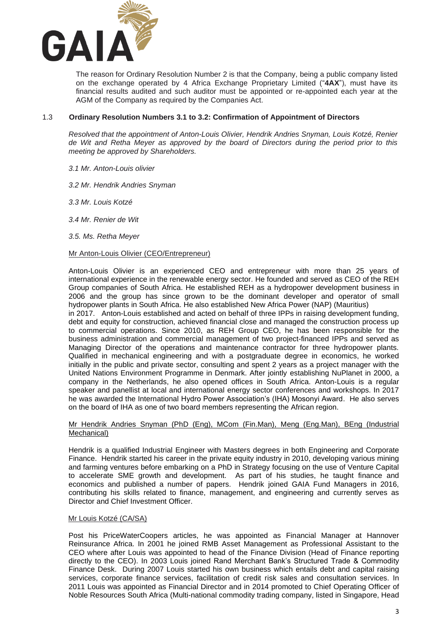

The reason for Ordinary Resolution Number 2 is that the Company, being a public company listed on the exchange operated by 4 Africa Exchange Proprietary Limited ("**4AX**"), must have its financial results audited and such auditor must be appointed or re-appointed each year at the AGM of the Company as required by the Companies Act.

# 1.3 **Ordinary Resolution Numbers 3.1 to 3.2: Confirmation of Appointment of Directors**

*Resolved that the appointment of Anton-Louis Olivier, Hendrik Andries Snyman, Louis Kotzé, Renier de Wit and Retha Meyer as approved by the board of Directors during the period prior to this meeting be approved by Shareholders.* 

- *3.1 Mr. Anton-Louis olivier*
- *3.2 Mr. Hendrik Andries Snyman*
- *3.3 Mr. Louis Kotzé*
- *3.4 Mr. Renier de Wit*
- *3.5. Ms. Retha Meyer*

#### Mr Anton-Louis Olivier (CEO/Entrepreneur)

Anton-Louis Olivier is an experienced CEO and entrepreneur with more than 25 years of international experience in the renewable energy sector. He founded and served as CEO of the REH Group companies of South Africa. He established REH as a hydropower development business in 2006 and the group has since grown to be the dominant developer and operator of small hydropower plants in South Africa. He also established New Africa Power (NAP) (Mauritius)

in 2017. Anton-Louis established and acted on behalf of three IPPs in raising development funding, debt and equity for construction, achieved financial close and managed the construction process up to commercial operations. Since 2010, as REH Group CEO, he has been responsible for the business administration and commercial management of two project-financed IPPs and served as Managing Director of the operations and maintenance contractor for three hydropower plants. Qualified in mechanical engineering and with a postgraduate degree in economics, he worked initially in the public and private sector, consulting and spent 2 years as a project manager with the United Nations Environment Programme in Denmark. After jointly establishing NuPlanet in 2000, a company in the Netherlands, he also opened offices in South Africa. Anton-Louis is a regular speaker and panellist at local and international energy sector conferences and workshops. In 2017 he was awarded the International Hydro Power Association's (IHA) Mosonyi Award. He also serves on the board of IHA as one of two board members representing the African region.

#### Mr Hendrik Andries Snyman (PhD (Eng), MCom (Fin.Man), Meng (Eng.Man), BEng (Industrial Mechanical)

Hendrik is a qualified Industrial Engineer with Masters degrees in both Engineering and Corporate Finance. Hendrik started his career in the private equity industry in 2010, developing various mining and farming ventures before embarking on a PhD in Strategy focusing on the use of Venture Capital to accelerate SME growth and development. As part of his studies, he taught finance and economics and published a number of papers. Hendrik joined GAIA Fund Managers in 2016, contributing his skills related to finance, management, and engineering and currently serves as Director and Chief Investment Officer.

#### Mr Louis Kotzé (CA/SA)

Post his PriceWaterCoopers articles, he was appointed as Financial Manager at Hannover Reinsurance Africa. In 2001 he joined RMB Asset Management as Professional Assistant to the CEO where after Louis was appointed to head of the Finance Division (Head of Finance reporting directly to the CEO). In 2003 Louis joined Rand Merchant Bank's Structured Trade & Commodity Finance Desk. During 2007 Louis started his own business which entails debt and capital raising services, corporate finance services, facilitation of credit risk sales and consultation services. In 2011 Louis was appointed as Financial Director and in 2014 promoted to Chief Operating Officer of Noble Resources South Africa (Multi-national commodity trading company, listed in Singapore, Head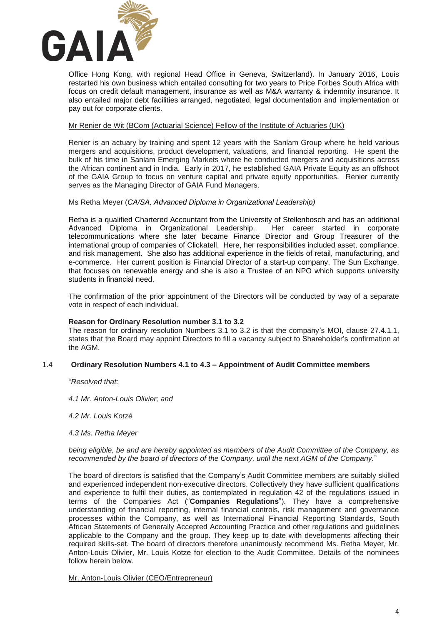

Office Hong Kong, with regional Head Office in Geneva, Switzerland). In January 2016, Louis restarted his own business which entailed consulting for two years to Price Forbes South Africa with focus on credit default management, insurance as well as M&A warranty & indemnity insurance. It also entailed major debt facilities arranged, negotiated, legal documentation and implementation or pay out for corporate clients.

# Mr Renier de Wit (BCom (Actuarial Science) Fellow of the Institute of Actuaries (UK)

Renier is an actuary by training and spent 12 years with the Sanlam Group where he held various mergers and acquisitions, product development, valuations, and financial reporting. He spent the bulk of his time in Sanlam Emerging Markets where he conducted mergers and acquisitions across the African continent and in India. Early in 2017, he established GAIA Private Equity as an offshoot of the GAIA Group to focus on venture capital and private equity opportunities. Renier currently serves as the Managing Director of GAIA Fund Managers.

#### Ms Retha Meyer (*CA/SA, Advanced Diploma in Organizational Leadership)*

Retha is a qualified Chartered Accountant from the University of Stellenbosch and has an additional Advanced Diploma in Organizational Leadership. Her career started in corporate telecommunications where she later became Finance Director and Group Treasurer of the international group of companies of Clickatell. Here, her responsibilities included asset, compliance, and risk management. She also has additional experience in the fields of retail, manufacturing, and e-commerce. Her current position is Financial Director of a start-up company, The Sun Exchange, that focuses on renewable energy and she is also a Trustee of an NPO which supports university students in financial need.

The confirmation of the prior appointment of the Directors will be conducted by way of a separate vote in respect of each individual.

#### **Reason for Ordinary Resolution number 3.1 to 3.2**

The reason for ordinary resolution Numbers 3.1 to 3.2 is that the company's MOI, clause 27.4.1.1, states that the Board may appoint Directors to fill a vacancy subject to Shareholder's confirmation at the AGM.

#### 1.4 **Ordinary Resolution Numbers 4.1 to 4.3 – Appointment of Audit Committee members**

"*Resolved that:*

*4.1 Mr. Anton-Louis Olivier; and*

*4.2 Mr. Louis Kotzé*

*4.3 Ms. Retha Meyer*

*being eligible, be and are hereby appointed as members of the Audit Committee of the Company, as recommended by the board of directors of the Company, until the next AGM of the Company.*"

The board of directors is satisfied that the Company's Audit Committee members are suitably skilled and experienced independent non-executive directors. Collectively they have sufficient qualifications and experience to fulfil their duties, as contemplated in regulation 42 of the regulations issued in terms of the Companies Act ("**Companies Regulations**"). They have a comprehensive understanding of financial reporting, internal financial controls, risk management and governance processes within the Company, as well as International Financial Reporting Standards, South African Statements of Generally Accepted Accounting Practice and other regulations and guidelines applicable to the Company and the group. They keep up to date with developments affecting their required skills-set. The board of directors therefore unanimously recommend Ms. Retha Meyer, Mr. Anton-Louis Olivier, Mr. Louis Kotze for election to the Audit Committee. Details of the nominees follow herein below.

Mr. Anton-Louis Olivier (CEO/Entrepreneur)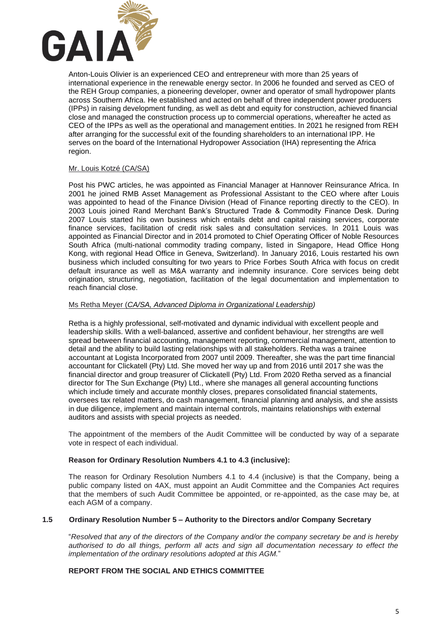

Anton-Louis Olivier is an experienced CEO and entrepreneur with more than 25 years of international experience in the renewable energy sector. In 2006 he founded and served as CEO of the REH Group companies, a pioneering developer, owner and operator of small hydropower plants across Southern Africa. He established and acted on behalf of three independent power producers (IPPs) in raising development funding, as well as debt and equity for construction, achieved financial close and managed the construction process up to commercial operations, whereafter he acted as CEO of the IPPs as well as the operational and management entities. In 2021 he resigned from REH after arranging for the successful exit of the founding shareholders to an international IPP. He serves on the board of the International Hydropower Association (IHA) representing the Africa region.

# Mr. Louis Kotzé (CA/SA)

Post his PWC articles, he was appointed as Financial Manager at Hannover Reinsurance Africa. In 2001 he joined RMB Asset Management as Professional Assistant to the CEO where after Louis was appointed to head of the Finance Division (Head of Finance reporting directly to the CEO). In 2003 Louis joined Rand Merchant Bank's Structured Trade & Commodity Finance Desk. During 2007 Louis started his own business which entails debt and capital raising services, corporate finance services, facilitation of credit risk sales and consultation services. In 2011 Louis was appointed as Financial Director and in 2014 promoted to Chief Operating Officer of Noble Resources South Africa (multi-national commodity trading company, listed in Singapore, Head Office Hong Kong, with regional Head Office in Geneva, Switzerland). In January 2016, Louis restarted his own business which included consulting for two years to Price Forbes South Africa with focus on credit default insurance as well as M&A warranty and indemnity insurance. Core services being debt origination, structuring, negotiation, facilitation of the legal documentation and implementation to reach financial close.

# Ms Retha Meyer (*CA/SA, Advanced Diploma in Organizational Leadership)*

Retha is a highly professional, self-motivated and dynamic individual with excellent people and leadership skills. With a well-balanced, assertive and confident behaviour, her strengths are well spread between financial accounting, management reporting, commercial management, attention to detail and the ability to build lasting relationships with all stakeholders. Retha was a trainee accountant at Logista Incorporated from 2007 until 2009. Thereafter, she was the part time financial accountant for Clickatell (Pty) Ltd. She moved her way up and from 2016 until 2017 she was the financial director and group treasurer of Clickatell (Pty) Ltd. From 2020 Retha served as a financial director for The Sun Exchange (Pty) Ltd., where she manages all general accounting functions which include timely and accurate monthly closes, prepares consolidated financial statements, oversees tax related matters, do cash management, financial planning and analysis, and she assists in due diligence, implement and maintain internal controls, maintains relationships with external auditors and assists with special projects as needed.

The appointment of the members of the Audit Committee will be conducted by way of a separate vote in respect of each individual.

#### **Reason for Ordinary Resolution Numbers 4.1 to 4.3 (inclusive):**

The reason for Ordinary Resolution Numbers 4.1 to 4.4 (inclusive) is that the Company, being a public company listed on 4AX, must appoint an Audit Committee and the Companies Act requires that the members of such Audit Committee be appointed, or re-appointed, as the case may be, at each AGM of a company.

#### **1.5 Ordinary Resolution Number 5 – Authority to the Directors and/or Company Secretary**

"*Resolved that any of the directors of the Company and/or the company secretary be and is hereby authorised to do all things, perform all acts and sign all documentation necessary to effect the implementation of the ordinary resolutions adopted at this AGM.*"

#### **REPORT FROM THE SOCIAL AND ETHICS COMMITTEE**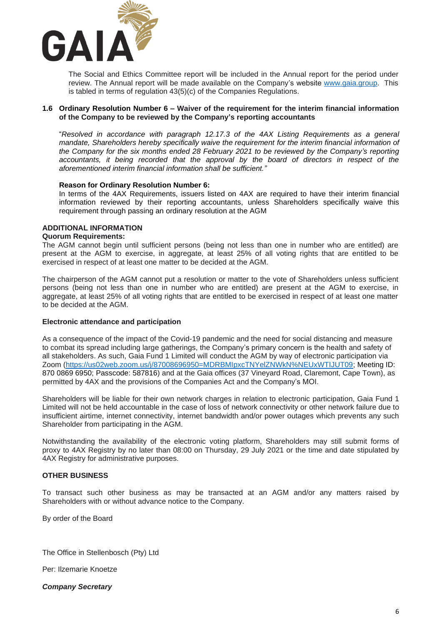

The Social and Ethics Committee report will be included in the Annual report for the period under review. The Annual report will be made available on the Company's website [www.gaia.group.](http://www.gaia.group/) This is tabled in terms of regulation 43(5)(c) of the Companies Regulations.

# **1.6 Ordinary Resolution Number 6 – Waiver of the requirement for the interim financial information of the Company to be reviewed by the Company's reporting accountants**

"*Resolved in accordance with paragraph 12.17.3 of the 4AX Listing Requirements as a general mandate, Shareholders hereby specifically waive the requirement for the interim financial information of the Company for the six months ended 28 February 2021 to be reviewed by the Company's reporting accountants, it being recorded that the approval by the board of directors in respect of the aforementioned interim financial information shall be sufficient."*

#### **Reason for Ordinary Resolution Number 6:**

In terms of the 4AX Requirements, issuers listed on 4AX are required to have their interim financial information reviewed by their reporting accountants, unless Shareholders specifically waive this requirement through passing an ordinary resolution at the AGM

# **ADDITIONAL INFORMATION**

#### **Quorum Requirements:**

The AGM cannot begin until sufficient persons (being not less than one in number who are entitled) are present at the AGM to exercise, in aggregate, at least 25% of all voting rights that are entitled to be exercised in respect of at least one matter to be decided at the AGM.

The chairperson of the AGM cannot put a resolution or matter to the vote of Shareholders unless sufficient persons (being not less than one in number who are entitled) are present at the AGM to exercise, in aggregate, at least 25% of all voting rights that are entitled to be exercised in respect of at least one matter to be decided at the AGM.

# **Electronic attendance and participation**

As a consequence of the impact of the Covid-19 pandemic and the need for social distancing and measure to combat its spread including large gatherings, the Company's primary concern is the health and safety of all stakeholders. As such, Gaia Fund 1 Limited will conduct the AGM by way of electronic participation via Zoom [\(https://us02web.zoom.us/j/87008696950=MDRBMIpxcTNYelZNWkN%NEUxWTIJUT09;](https://us02web.zoom.us/j/87008696950=MDRBMIpxcTNYelZNWkN%25NEUxWTIJUT09) Meeting ID: 870 0869 6950; Passcode: 587816) and at the Gaia offices (37 Vineyard Road, Claremont, Cape Town), as permitted by 4AX and the provisions of the Companies Act and the Company's MOI.

Shareholders will be liable for their own network charges in relation to electronic participation, Gaia Fund 1 Limited will not be held accountable in the case of loss of network connectivity or other network failure due to insufficient airtime, internet connectivity, internet bandwidth and/or power outages which prevents any such Shareholder from participating in the AGM.

Notwithstanding the availability of the electronic voting platform, Shareholders may still submit forms of proxy to 4AX Registry by no later than 08:00 on Thursday, 29 July 2021 or the time and date stipulated by 4AX Registry for administrative purposes.

#### **OTHER BUSINESS**

To transact such other business as may be transacted at an AGM and/or any matters raised by Shareholders with or without advance notice to the Company.

By order of the Board

The Office in Stellenbosch (Pty) Ltd

Per: Ilzemarie Knoetze

*Company Secretary*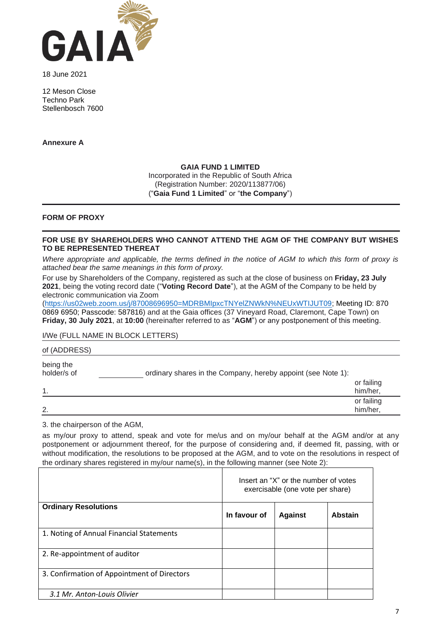

18 June 2021

12 Meson Close Techno Park Stellenbosch 7600

**Annexure A**

# **GAIA FUND 1 LIMITED**

Incorporated in the Republic of South Africa (Registration Number: 2020/113877/06) ("**Gaia Fund 1 Limited**" or "**the Company**")

# **FORM OF PROXY**

# **FOR USE BY SHAREHOLDERS WHO CANNOT ATTEND THE AGM OF THE COMPANY BUT WISHES TO BE REPRESENTED THEREAT**

*Where appropriate and applicable, the terms defined in the notice of AGM to which this form of proxy is attached bear the same meanings in this form of proxy.*

For use by Shareholders of the Company, registered as such at the close of business on **Friday, 23 July 2021**, being the voting record date ("**Voting Record Date**"), at the AGM of the Company to be held by electronic communication via Zoom

[\(https://us02web.zoom.us/j/87008696950=MDRBMIpxcTNYelZNWkN%NEUxWTIJUT09;](https://us02web.zoom.us/j/87008696950=MDRBMIpxcTNYelZNWkN%25NEUxWTIJUT09) Meeting ID: 870 0869 6950; Passcode: 587816) and at the Gaia offices (37 Vineyard Road, Claremont, Cape Town) on **Friday, 30 July 2021**, at **10:00** (hereinafter referred to as "**AGM**") or any postponement of this meeting.

# I/We (FULL NAME IN BLOCK LETTERS)

| of (ADDRESS)             |                                                              |                        |
|--------------------------|--------------------------------------------------------------|------------------------|
| being the<br>holder/s of | ordinary shares in the Company, hereby appoint (see Note 1): |                        |
| 1.                       |                                                              | or failing<br>him/her, |
| 2.                       |                                                              | or failing<br>him/her, |

3. the chairperson of the AGM,

as my/our proxy to attend, speak and vote for me/us and on my/our behalf at the AGM and/or at any postponement or adjournment thereof, for the purpose of considering and, if deemed fit, passing, with or without modification, the resolutions to be proposed at the AGM, and to vote on the resolutions in respect of the ordinary shares registered in my/our name(s), in the following manner (see Note 2):

|                                             | Insert an "X" or the number of votes<br>exercisable (one vote per share) |                |                |
|---------------------------------------------|--------------------------------------------------------------------------|----------------|----------------|
| <b>Ordinary Resolutions</b>                 | In favour of                                                             | <b>Against</b> | <b>Abstain</b> |
| 1. Noting of Annual Financial Statements    |                                                                          |                |                |
| 2. Re-appointment of auditor                |                                                                          |                |                |
| 3. Confirmation of Appointment of Directors |                                                                          |                |                |
| 3.1 Mr. Anton-Louis Olivier                 |                                                                          |                |                |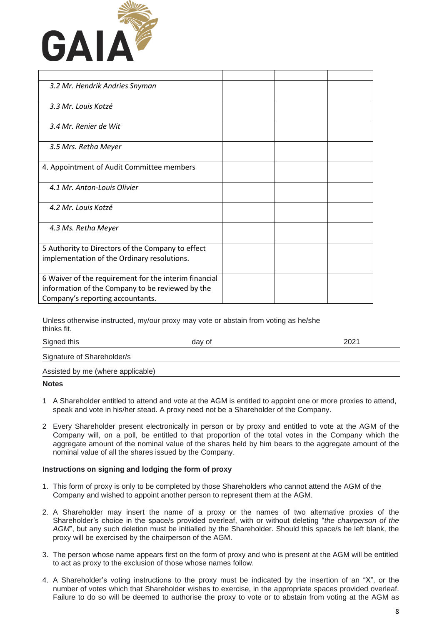

| 3.2 Mr. Hendrik Andries Snyman                        |  |  |
|-------------------------------------------------------|--|--|
| 3.3 Mr. Louis Kotzé                                   |  |  |
| 3.4 Mr. Renier de Wit                                 |  |  |
| 3.5 Mrs. Retha Meyer                                  |  |  |
| 4. Appointment of Audit Committee members             |  |  |
| 4.1 Mr. Anton-Louis Olivier                           |  |  |
| 4.2 Mr. Louis Kotzé                                   |  |  |
| 4.3 Ms. Retha Meyer                                   |  |  |
| 5 Authority to Directors of the Company to effect     |  |  |
| implementation of the Ordinary resolutions.           |  |  |
| 6 Waiver of the requirement for the interim financial |  |  |
| information of the Company to be reviewed by the      |  |  |
| Company's reporting accountants.                      |  |  |

Unless otherwise instructed, my/our proxy may vote or abstain from voting as he/she thinks fit.

| Signed this                       | day of | 2021 |
|-----------------------------------|--------|------|
| Signature of Shareholder/s        |        |      |
| Assisted by me (where applicable) |        |      |

#### **Notes**

- 1 A Shareholder entitled to attend and vote at the AGM is entitled to appoint one or more proxies to attend, speak and vote in his/her stead. A proxy need not be a Shareholder of the Company.
- 2 Every Shareholder present electronically in person or by proxy and entitled to vote at the AGM of the Company will, on a poll, be entitled to that proportion of the total votes in the Company which the aggregate amount of the nominal value of the shares held by him bears to the aggregate amount of the nominal value of all the shares issued by the Company.

#### **Instructions on signing and lodging the form of proxy**

- 1. This form of proxy is only to be completed by those Shareholders who cannot attend the AGM of the Company and wished to appoint another person to represent them at the AGM.
- 2. A Shareholder may insert the name of a proxy or the names of two alternative proxies of the Shareholder's choice in the space/s provided overleaf, with or without deleting "*the chairperson of the AGM*", but any such deletion must be initialled by the Shareholder. Should this space/s be left blank, the proxy will be exercised by the chairperson of the AGM.
- 3. The person whose name appears first on the form of proxy and who is present at the AGM will be entitled to act as proxy to the exclusion of those whose names follow.
- 4. A Shareholder's voting instructions to the proxy must be indicated by the insertion of an "X", or the number of votes which that Shareholder wishes to exercise, in the appropriate spaces provided overleaf. Failure to do so will be deemed to authorise the proxy to vote or to abstain from voting at the AGM as